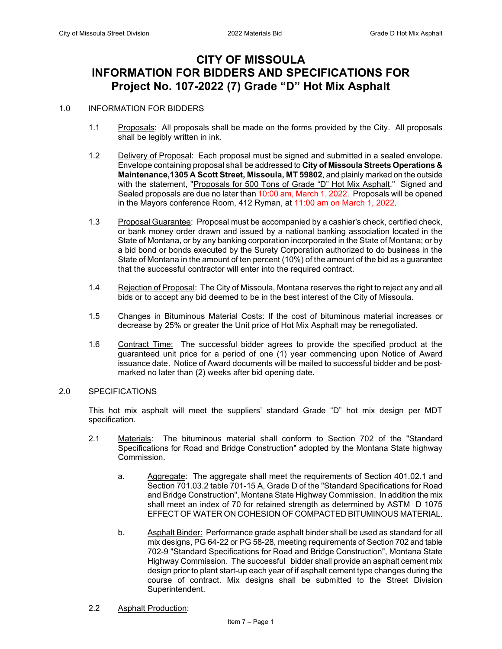# **CITY OF MISSOULA INFORMATION FOR BIDDERS AND SPECIFICATIONS FOR Project No. 107-2022 (7) Grade "D" Hot Mix Asphalt**

#### 1.0 INFORMATION FOR BIDDERS

- 1.1 Proposals: All proposals shall be made on the forms provided by the City. All proposals shall be legibly written in ink.
- 1.2 Delivery of Proposal: Each proposal must be signed and submitted in a sealed envelope. Envelope containing proposal shall be addressed to **City of Missoula Streets Operations & Maintenance,1305 A Scott Street, Missoula, MT 59802**, and plainly marked on the outside with the statement, "Proposals for 500 Tons of Grade "D" Hot Mix Asphalt." Signed and Sealed proposals are due no later than 10:00 am, March 1, 2022. Proposals will be opened in the Mayors conference Room, 412 Ryman, at 11:00 am on March 1, 2022.
- 1.3 Proposal Guarantee: Proposal must be accompanied by a cashier's check, certified check, or bank money order drawn and issued by a national banking association located in the State of Montana, or by any banking corporation incorporated in the State of Montana; or by a bid bond or bonds executed by the Surety Corporation authorized to do business in the State of Montana in the amount of ten percent (10%) of the amount of the bid as a guarantee that the successful contractor will enter into the required contract.
- 1.4 Rejection of Proposal: The City of Missoula, Montana reserves the right to reject any and all bids or to accept any bid deemed to be in the best interest of the City of Missoula.
- 1.5 Changes in Bituminous Material Costs: If the cost of bituminous material increases or decrease by 25% or greater the Unit price of Hot Mix Asphalt may be renegotiated.
- 1.6 Contract Time: The successful bidder agrees to provide the specified product at the guaranteed unit price for a period of one (1) year commencing upon Notice of Award issuance date. Notice of Award documents will be mailed to successful bidder and be postmarked no later than (2) weeks after bid opening date.

#### 2.0 SPECIFICATIONS

This hot mix asphalt will meet the suppliers' standard Grade "D" hot mix design per MDT specification.

- 2.1 Materials: The bituminous material shall conform to Section 702 of the "Standard Specifications for Road and Bridge Construction" adopted by the Montana State highway Commission.
	- a. Aggregate: The aggregate shall meet the requirements of Section 401.02.1 and Section 701.03.2 table 701-15 A, Grade D of the "Standard Specifications for Road and Bridge Construction", Montana State Highway Commission. In addition the mix shall meet an index of 70 for retained strength as determined by ASTM D 1075 EFFECT OF WATER ON COHESION OF COMPACTED BITUMINOUS MATERIAL.
	- b. Asphalt Binder: Performance grade asphalt binder shall be used as standard for all mix designs, PG 64-22 or PG 58-28, meeting requirements of Section 702 and table 702-9 "Standard Specifications for Road and Bridge Construction", Montana State Highway Commission. The successful bidder shall provide an asphalt cement mix design prior to plant start-up each year of if asphalt cement type changes during the course of contract. Mix designs shall be submitted to the Street Division Superintendent.
- 2.2 Asphalt Production: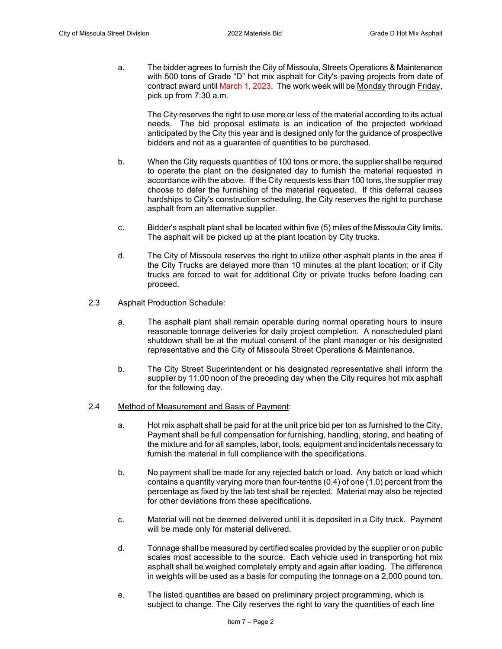a. The bidder agrees to furnish the City of Missoula, Streets Operations & Maintenance with 500 tons of Grade "D" hot mix asphalt for City's paving projects from date of contract award until March 1, 2023. The work week will be Monday through Friday, pick up from 7:30 a.m.

The City reserves the right to use more or less of the material according to its actual needs. The bid proposal estimate is an indication of the projected workload anticipated by the City this year and is designed only for the guidance of prospective bidders and not as a guarantee of quantities to be purchased.

- b. When the City requests quantities of 100 tons or more, the supplier shall be required to operate the plant on the designated day to furnish the material requested in accordance with the above. If the City requests less than 100 tons, the supplier may choose to defer the furnishing of the material requested. If this deferral causes hardships to City's construction scheduling, the City reserves the right to purchase asphalt from an alternative supplier.
- c. Bidder's asphalt plant shall be located within five (5) miles of the Missoula City limits. The asphalt will be picked up at the plant location by City trucks.
- d. The City of Missoula reserves the right to utilize other asphalt plants in the area if the City Trucks are delayed more than 10 minutes at the plant location; or if City trucks are forced to wait for additional City or private trucks before loading can proceed.

#### 2.3 Asphalt Production Schedule:

- a. The asphalt plant shall remain operable during normal operating hours to insure reasonable tonnage deliveries for daily project completion. A nonscheduled plant shutdown shall be at the mutual consent of the plant manager or his designated representative and the City of Missoula Street Operations & Maintenance.
- b. The City Street Superintendent or his designated representative shall inform the supplier by 11:00 noon of the preceding day when the City requires hot mix asphalt for the following day.
- 2.4 Method of Measurement and Basis of Payment:
	- a. Hot mix asphalt shall be paid for at the unit price bid per ton as furnished to the City. Payment shall be full compensation for furnishing, handling, storing, and heating of the mixture and for all samples, labor, tools, equipment and incidentals necessary to furnish the material in full compliance with the specifications.
	- b. No payment shall be made for any rejected batch or load. Any batch or load which contains a quantity varying more than four-tenths (0.4) of one (1.0) percent from the percentage as fixed by the lab test shall be rejected. Material may also be rejected for other deviations from these specifications.
	- c. Material will not be deemed delivered until it is deposited in a City truck. Payment will be made only for material delivered.
	- d. Tonnage shall be measured by certified scales provided by the supplier or on public scales most accessible to the source. Each vehicle used in transporting hot mix asphalt shall be weighed completely empty and again after loading. The difference in weights will be used as a basis for computing the tonnage on a 2,000 pound ton.
	- e. The listed quantities are based on preliminary project programming, which is subject to change. The City reserves the right to vary the quantities of each line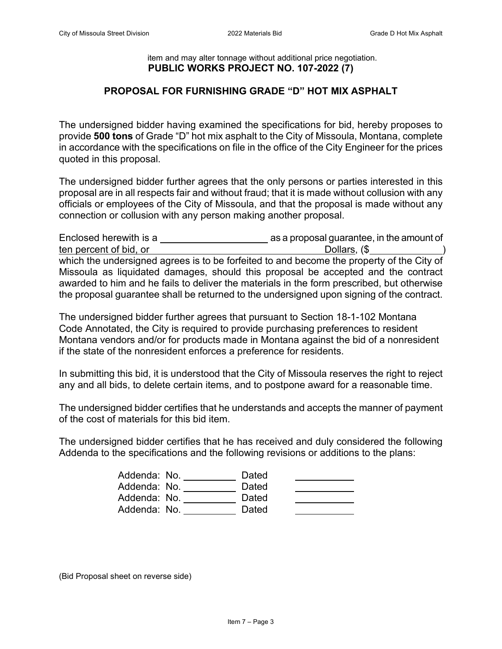### item and may alter tonnage without additional price negotiation. **PUBLIC WORKS PROJECT NO. 107-2022 (7)**

### **PROPOSAL FOR FURNISHING GRADE "D" HOT MIX ASPHALT**

The undersigned bidder having examined the specifications for bid, hereby proposes to provide **500 tons** of Grade "D" hot mix asphalt to the City of Missoula, Montana, complete in accordance with the specifications on file in the office of the City Engineer for the prices quoted in this proposal.

The undersigned bidder further agrees that the only persons or parties interested in this proposal are in all respects fair and without fraud; that it is made without collusion with any officials or employees of the City of Missoula, and that the proposal is made without any connection or collusion with any person making another proposal.

| Enclosed herewith is a                                                                     | as a proposal guarantee, in the amount of |
|--------------------------------------------------------------------------------------------|-------------------------------------------|
| ten percent of bid, or                                                                     | Dollars, (\$                              |
| which the undersigned agrees is to be forfeited to and become the property of the City of  |                                           |
| Missoula as liquidated damages, should this proposal be accepted and the contract          |                                           |
| awarded to him and he fails to deliver the materials in the form prescribed, but otherwise |                                           |
| the proposal guarantee shall be returned to the undersigned upon signing of the contract.  |                                           |

The undersigned bidder further agrees that pursuant to Section 18-1-102 Montana Code Annotated, the City is required to provide purchasing preferences to resident Montana vendors and/or for products made in Montana against the bid of a nonresident if the state of the nonresident enforces a preference for residents.

In submitting this bid, it is understood that the City of Missoula reserves the right to reject any and all bids, to delete certain items, and to postpone award for a reasonable time.

The undersigned bidder certifies that he understands and accepts the manner of payment of the cost of materials for this bid item.

The undersigned bidder certifies that he has received and duly considered the following Addenda to the specifications and the following revisions or additions to the plans:

| Addenda: No. | Dated |  |
|--------------|-------|--|
| Addenda: No. | Dated |  |
| Addenda: No. | Dated |  |
| Addenda: No. | Dated |  |

(Bid Proposal sheet on reverse side)